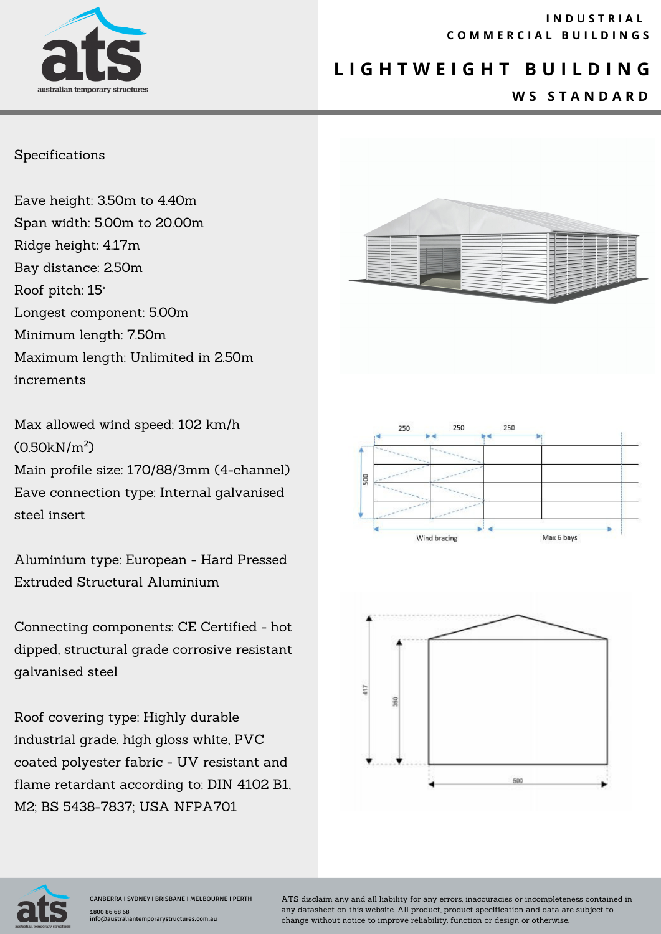

#### **I N D U S T R I A L C O M M E R C I A L B U I L D I N G S**

## **L I G H T W E I G H T B U I L D I N G**

#### **W S S T A N D A R D**

#### Specifications

Eave height: 3.50m to 4.40m Span width: 5.00m to 20.00m Ridge height: 4.17m Bay distance: 2.50m Roof pitch: 15° Longest component: 5.00m Minimum length: 7.50m Maximum length: Unlimited in 2.50m increments

Max allowed wind speed: 102 km/h (0.50kN/m²) Main profile size: 170/88/3mm (4-channel) Eave connection type: Internal galvanised steel insert

Aluminium type: European - Hard Pressed Extruded Structural Aluminium

Connecting components: CE Certified - hot dipped, structural grade corrosive resistant galvanised steel

Roof covering type: Highly durable industrial grade, high gloss white, PVC coated polyester fabric - UV resistant and flame retardant according to: DIN 4102 B1, M2; BS 5438-7837; USA NFPA701









ATS disclaim any and all liability for any errors, inaccuracies or incompleteness contained in any datasheet on this website. All product, product specification and data are subject to change without notice to improve reliability, function or design or otherwise.